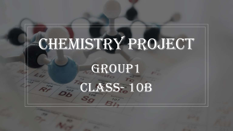## CHEMISTRY PROJECT

## GROUP1 CLASS- 10B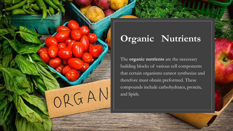

## **Organic Nutrients**

The **organic nutrients** are the necessary building blocks of various cell components that certain organisms cannot synthesize and therefore must obtain preformed. These compounds include carbohydrates, protein, and lipids.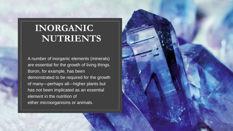## **INORGANIC NUTRIENTS**

A number of inorganic elements (minerals) are essential for the growth of living things. Boron, for example, has been demonstrated to be required for the growth of many—perhaps all—higher plants but has not been implicated as an essential element in the nutrition of either microorganisms or animals.

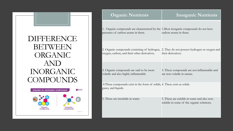DIFFERENCE BETWEEN ORGANIC AND INORGANIC **COMPOUNDS** 



| <b>Organic Nutrients</b>                                                                                                   | <b>Inorganic Nutrients</b>                                                               |
|----------------------------------------------------------------------------------------------------------------------------|------------------------------------------------------------------------------------------|
| 1. Organic compounds are characterized by the 1. Most inorganic compounds do not have<br>presence of carbon atoms in them. | carbon atoms in them.                                                                    |
| 2. Organic compounds consisting of hydrogen,<br>oxygen, carbon, and their other derivatives.                               | 2. They do not possess hydrogen or oxygen and<br>their derivatives.                      |
| 3. Organic compounds are said to be more<br>volatile and also highly inflammable                                           | 3. These compounds are not inflammable and<br>are non-volatile in nature.                |
| 4. These compounds exist in the form of solids, 4. These exist as solids.<br>gases, and liquids.                           |                                                                                          |
| 5. These are insoluble in water.                                                                                           | 5. These are soluble in water and also non-<br>soluble in some of the organic solutions. |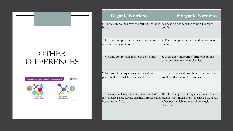## **OTHER** DIFFERENCES



| <b>Organic Nutrients</b>                                                                             | <b>Inorganic Nutrients</b>                                                 |
|------------------------------------------------------------------------------------------------------|----------------------------------------------------------------------------|
| 6. These compounds have the carbon-hydrogen 6. These do not have the carbon-hydrogen<br>bonds.       | bonds.                                                                     |
| 7. Organic compounds are mainly found in                                                             | 7. These compounds are found in non-living                                 |
| most of the living things.                                                                           | things.                                                                    |
| 8. Organic compounds form covalent bonds.                                                            | 8. Inorganic compounds form ionic bonds<br>between the atoms of molecules. |
| 9. In most of the aqueous solutions, these are                                                       | 9. In aqueous solutions, these are known to be                             |
| poor conductors of heat and electricity.                                                             | good conductors of heat and electricity.                                   |
| 10. Examples of organic compounds include                                                            | 10. The example for inorganic compounds                                    |
| fats, nucleic acids, sugars, enzymes, proteins and includes non-metals, salts, metals, acids, bases, | substances which are made from single                                      |
| hydrocarbon fuels.                                                                                   | elements.                                                                  |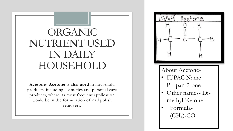## ORGANIC NUTRIENT USED IN DAILY HOUSEHOLD

**Acetone- Acetone** is also **used** in household products, including cosmetics and personal care products, where its most frequent application would be in the formulation of nail polish removers.



About Acetone-

- IUPAC Name-Propan-2-one
- Other names- Dimethyl Ketone
- Formula-  $(CH_3)_2CO$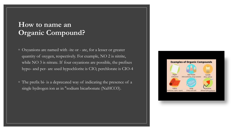#### **How to name an Organic Compound?**

- Oxyanions are named with -ite or ate, for a lesser or greater quantity of oxygen, respectively. For example, NO 2 is nitrite, while NO 3 is nitrate. If four oxyanions are possible, the prefixes hypo- and per- are used hypochlorite is CIO, perchlorate is CIO-4
- The prefix bi- is a deprecated way of indicating the presence of a single hydrogen ion as in "sodium bicarbonate (NaHCO3).

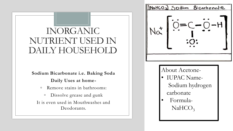## INORGANIC NUTRIENT USED IN DAILY HOUSEHOLD

**Sodium Bicarbonate i.e. Baking Soda Daily Uses at home-**

- Remove stains in bathrooms:
- Dissolve grease and gunk It is even used in Mouthwashes and Deodorants.

[NaMCO<sub>3</sub>] Sodium Bicarbonate

About Acetone- • IUPAC Name-Sodium hydrogen carbonate

• Formula- $NaHCO<sub>3</sub>$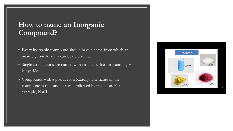#### **How to name an Inorganic Compound?**

- Every inorganic compound should have a name from which an unambiguous formula can be determined.
- Single atom anions are named with an -ide suffix: for example, His hydride.
- Compounds with a positive ion (cation): The name of the compound is the cation's name followed by the anion. For example, NaCI.

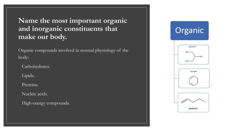### **Name the most important organic and inorganic constituents that make our body.**

Organic compounds involved in normal physiology of the body:

- Carbohydrates.
- Lipids.
- Proteins.
- Nucleic acids.
- High-energy compounds.

## Organic





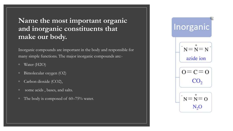### **Name the most important organic and inorganic constituents that make our body.**

Inorganic compounds are important in the body and responsible for many simple functions. The major inorganic compounds are:-

- Water (H2O)
- Bimolecular oxygen (O2)
- Carbon dioxide (CO2),
- some acids , bases, and salts.
- The body is composed of 60–75% water.

## Inorganic

$$
\begin{bmatrix}\n\mathbf{N} = \mathbf{N} = \mathbf{N} \\
\mathbf{N}\n\end{bmatrix}
$$
\n
$$
\mathbf{a}
$$
\n
$$
\mathbf{a}
$$



$$
\begin{array}{c}\n\cdot \\
N = N = O \\
N_2O\n\end{array}
$$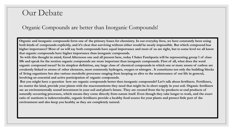## Our Debate

#### Organic Compounds are better than Inorganic Compounds!

**Organic and inorganic compounds form one of the primary bases for chemistry. In our everyday lives, we have constantly been using both kinds of compounds explicitly, and it's clear that surviving without either would be nearly impossible. But which compound has higher importance? Most of us will say both compounds have equal importance and most of us are right, but to some level we all know that organic compounds have higher importance than inorganic compounds.**

**So with this thought in mind, Good Afternoon one and all present here, today I Saket Fatehpuria will be representing group 1 of class 10b and speak for the motion organic compounds are more important than inorganic compounds. First of all, what does the word organic compound mean? In its simplest definition, any large class of chemical compounds in which one or more atoms of carbon are covalently linked to atoms of other elements, most commonly hydrogen, oxygen or nitrogen . It constitutes not only the building blocks of living organisms but also various metabolic processes ranging from keeping us alive to the maintenance of our life in general, involving an essential and active participation of organic compounds.**

**But you might have a question how are organic compounds better then inorganic compounds? Let's talk about fertilizers. Fertilizers, no matter the kind, provide your plants with the macronutrients they need that might be in short supply in your soil. Organic fertilizers are an environmentally sound investment in your soil and plant's future. They are created from the by-products or end products of naturally occurring processes, which means they come directly from nature itself. Even though they take longer to work, and the exact ratio of nutrients is indeterminable, organic fertilizers provide a healthy food source for your plants and protect little part of the environment and also keep you healthy as they are completely natural.**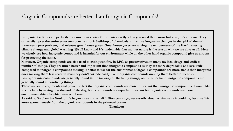#### Organic Compounds are better than Inorganic Compounds!

**Inorganic fertilizers are perfectly measured out shots of nutrients exactly when you need them most but at significant cost. They can easily upset the entire ecosystem, create a toxic build-up of chemicals, and cause long-term changes in the pH of the soil, increases a pest problem, and releases greenhouse gases. Greenhouse gases are raising the temperature of the Earth, causing climate change and global warming. We all know and It's undeniable that mother nature is the reason why we are alive at all. Here we clearly see how inorganic compound is harmful for our environment while on the other hand organic compound give us a room for protecting the same.**

**Moreover, Organic compounds are also used to extinguish fire, in LPG, as preservatives, in many medical drugs and endless number of things. They are much better and important than inorganic compounds as they are more degradable and less toxic compared to inorganic compounds making it better to use for the environment. Organic compounds are more stable than inorganic ones making them less reactive thus they don't corrode easily like inorganic compounds making them better for people. Lastly, organic compounds are generally found in the majority of the living things, on the other hand inorganic compounds are generally found in non-living things.**

**These are some arguments that prove the fact that organic compounds are more important than inorganic compounds. I would like to conclude by saying that the end of the day, both compounds are equally important but organic compounds are more environment-friendly which makes it better,**

**As said by Stephen Jay Gould, Life began three and a half billion years ago, necessarily about as simple as it could be, because life arose spontaneously from the organic compounds in the primeval oceans.**

**Thankyou**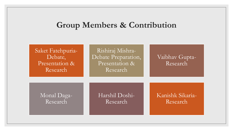### **Group Members & Contribution**

Saket Fatehpuria-Debate, Presentation & Research

Rishiraj Mishra-Debate Preparation, Presentation & Research

#### Vaibhav Gupta-Research

Monal Daga-Research

Harshil Doshi-Research

Kanishk Sikaria-Research